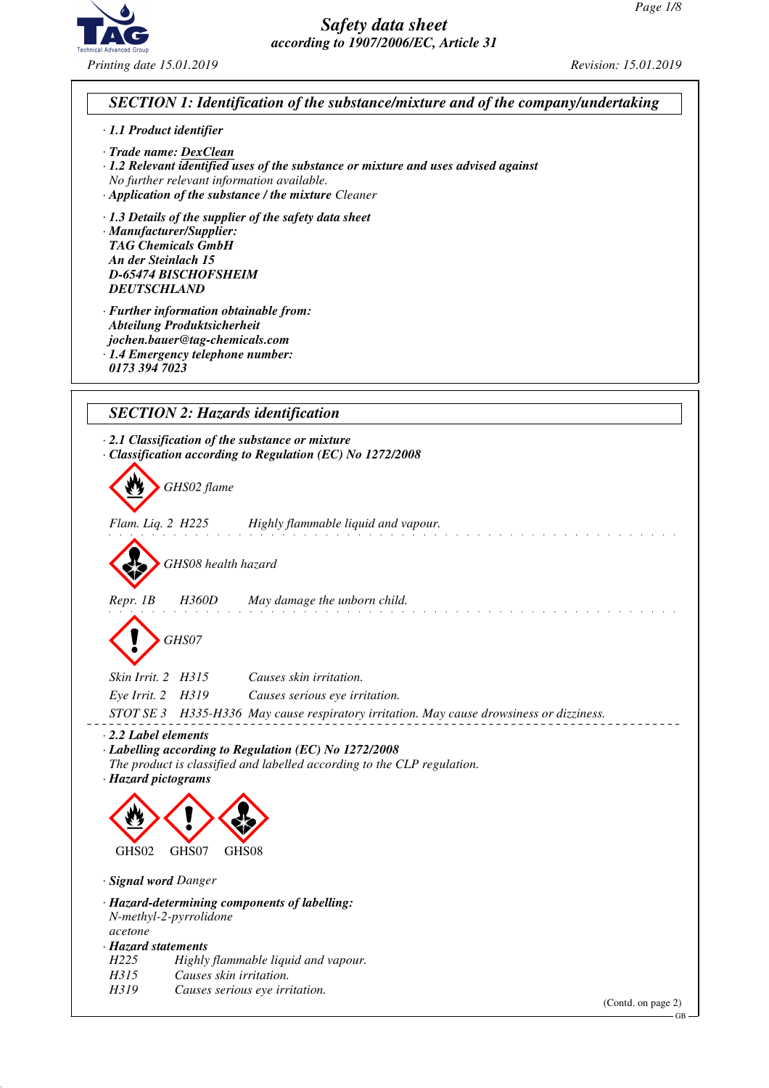

# *SECTION 1: Identification of the substance/mixture and of the company/undertaking*

#### *· 1.1 Product identifier*

- *· Trade name: DexClean*
- *· 1.2 Relevant identified uses of the substance or mixture and uses advised against No further relevant information available.*
- *· Application of the substance / the mixture Cleaner*
- *· 1.3 Details of the supplier of the safety data sheet*

*· Manufacturer/Supplier: TAG Chemicals GmbH An der Steinlach 15 D-65474 BISCHOFSHEIM DEUTSCHLAND*

- *· Further information obtainable from: Abteilung Produktsicherheit jochen.bauer@tag-chemicals.com*
- *· 1.4 Emergency telephone number:*
- *0173 394 7023*

### *SECTION 2: Hazards identification*

- *· 2.1 Classification of the substance or mixture · Classification according to Regulation (EC) No 1272/2008*
	- d~*GHS02 flame*
- *Flam. Liq. 2 H225 Highly flammable liquid and vapour.*

d~*GHS08 health hazard*

*Repr. 1B H360D May damage the unborn child.*

d~*GHS07*

- *Skin Irrit. 2 H315 Causes skin irritation.*
- *Eye Irrit. 2 H319 Causes serious eye irritation.*
- *STOT SE 3 H335-H336 May cause respiratory irritation. May cause drowsiness or dizziness.*
- *· 2.2 Label elements*
- *· Labelling according to Regulation (EC) No 1272/2008 The product is classified and labelled according to the CLP regulation.*
- *· Hazard pictograms*



- *· Signal word Danger*
- *· Hazard-determining components of labelling: N-methyl-2-pyrrolidone acetone · Hazard statements H225 Highly flammable liquid and vapour. H315 Causes skin irritation.*
- *H319 Causes serious eye irritation.*

(Contd. on page 2)

GB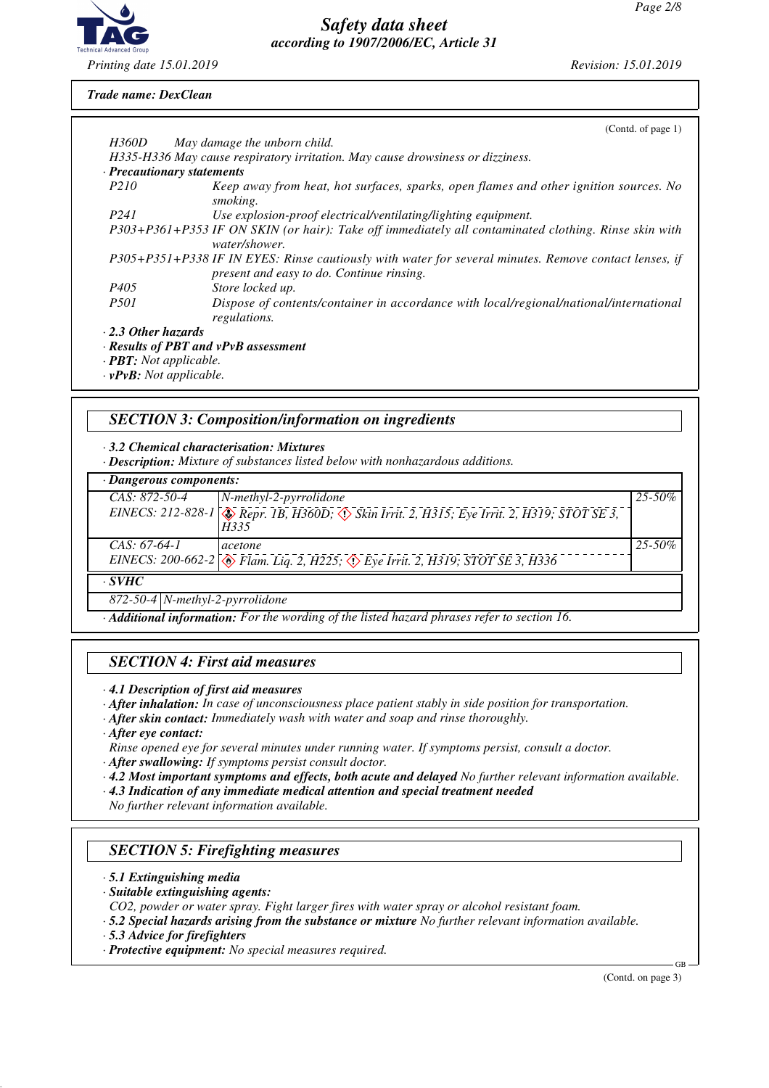

#### *Trade name: DexClean*

|                                      | (Contd. of page 1)                                                                                                                                 |
|--------------------------------------|----------------------------------------------------------------------------------------------------------------------------------------------------|
| H360D                                | May damage the unborn child.                                                                                                                       |
|                                      | H335-H336 May cause respiratory irritation. May cause drowsiness or dizziness.                                                                     |
| · Precautionary statements           |                                                                                                                                                    |
| <i>P210</i>                          | Keep away from heat, hot surfaces, sparks, open flames and other ignition sources. No<br>smoking.                                                  |
| P <sub>241</sub>                     | Use explosion-proof electrical/ventilating/lighting equipment.                                                                                     |
|                                      | P303+P361+P353 IF ON SKIN (or hair): Take off immediately all contaminated clothing. Rinse skin with<br>water/shower.                              |
|                                      | P305+P351+P338 IF IN EYES: Rinse cautiously with water for several minutes. Remove contact lenses, if<br>present and easy to do. Continue rinsing. |
| P405                                 | Store locked up.                                                                                                                                   |
| <i>P501</i>                          | Dispose of contents/container in accordance with local/regional/national/international<br>regulations.                                             |
| $\cdot$ 2.3 Other hazards            |                                                                                                                                                    |
| · Results of PBT and vPvB assessment |                                                                                                                                                    |
| $\cdot$ <b>PBT:</b> Not applicable.  |                                                                                                                                                    |

*· vPvB: Not applicable.*

#### *SECTION 3: Composition/information on ingredients*

*· 3.2 Chemical characterisation: Mixtures*

*· Description: Mixture of substances listed below with nonhazardous additions.*

| $\cdot$ Dangerous components: |                                                                                                       |             |  |  |
|-------------------------------|-------------------------------------------------------------------------------------------------------|-------------|--|--|
| $CAS: 872-50-4$               | $\vert N\text{-}methyl-2-pyrrolidone \vert$                                                           | $25 - 50\%$ |  |  |
|                               | EINECS: 212-828-1 & Repr. 1B, H360D; & Skin Irrit. 2, H315; Eye Irrit. 2, H319; STOT SE 3,<br>H335    |             |  |  |
| $CAS: 67-64-1$                | <i>acetone</i>                                                                                        | $25 - 50\%$ |  |  |
|                               | EINECS: 200-662-2 $\circledast$ Flam. Liq. 2, H225; $\circledast$ Eye Irrit. 2, H319; STOT SE 3, H336 |             |  |  |
| CVIITC                        |                                                                                                       |             |  |  |

*· SVHC*

*872-50-4 N-methyl-2-pyrrolidone*

*· Additional information: For the wording of the listed hazard phrases refer to section 16.*

#### *SECTION 4: First aid measures*

*· 4.1 Description of first aid measures*

- *· After inhalation: In case of unconsciousness place patient stably in side position for transportation.*
- *· After skin contact: Immediately wash with water and soap and rinse thoroughly.*

*· After eye contact:*

- *Rinse opened eye for several minutes under running water. If symptoms persist, consult a doctor.*
- *· After swallowing: If symptoms persist consult doctor.*
- *· 4.2 Most important symptoms and effects, both acute and delayed No further relevant information available.*
- *· 4.3 Indication of any immediate medical attention and special treatment needed*

*No further relevant information available.*

#### *SECTION 5: Firefighting measures*

- *· 5.1 Extinguishing media*
- *· Suitable extinguishing agents:*

*CO2, powder or water spray. Fight larger fires with water spray or alcohol resistant foam.*

- *· 5.2 Special hazards arising from the substance or mixture No further relevant information available.*
- *· 5.3 Advice for firefighters*
- *· Protective equipment: No special measures required.*

(Contd. on page 3)

GB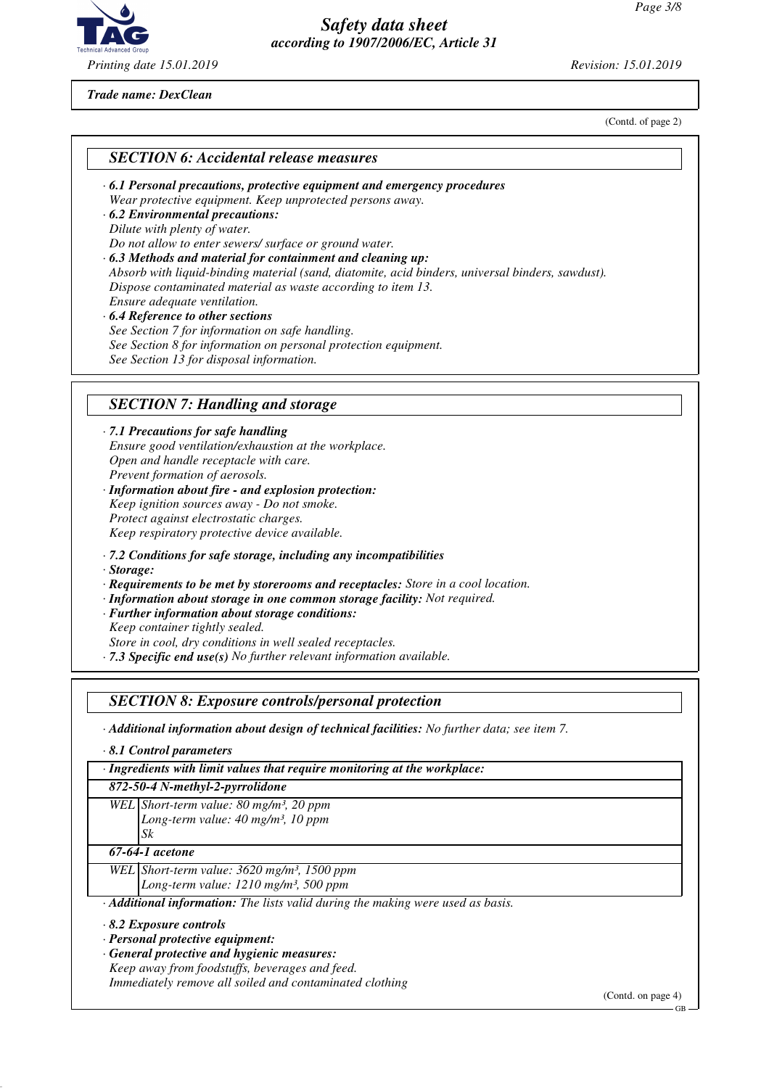

*Trade name: DexClean*

(Contd. of page 2)

#### *SECTION 6: Accidental release measures*

- *· 6.1 Personal precautions, protective equipment and emergency procedures Wear protective equipment. Keep unprotected persons away.*
- *· 6.2 Environmental precautions: Dilute with plenty of water. Do not allow to enter sewers/ surface or ground water.*
- *· 6.3 Methods and material for containment and cleaning up: Absorb with liquid-binding material (sand, diatomite, acid binders, universal binders, sawdust). Dispose contaminated material as waste according to item 13. Ensure adequate ventilation.*
- *· 6.4 Reference to other sections See Section 7 for information on safe handling. See Section 8 for information on personal protection equipment. See Section 13 for disposal information.*

### *SECTION 7: Handling and storage*

#### *· 7.1 Precautions for safe handling Ensure good ventilation/exhaustion at the workplace. Open and handle receptacle with care.*

- *Prevent formation of aerosols.*
- *· Information about fire and explosion protection: Keep ignition sources away - Do not smoke. Protect against electrostatic charges. Keep respiratory protective device available.*
- *· 7.2 Conditions for safe storage, including any incompatibilities*
- *· Storage:*
- *· Requirements to be met by storerooms and receptacles: Store in a cool location.*
- *· Information about storage in one common storage facility: Not required.*
- *· Further information about storage conditions:*
- *Keep container tightly sealed.*
- *Store in cool, dry conditions in well sealed receptacles.*
- *· 7.3 Specific end use(s) No further relevant information available.*

### *SECTION 8: Exposure controls/personal protection*

*· Additional information about design of technical facilities: No further data; see item 7.*

*· 8.1 Control parameters*

*· Ingredients with limit values that require monitoring at the workplace:*

#### *872-50-4 N-methyl-2-pyrrolidone*

*WEL Short-term value: 80 mg/m³, 20 ppm Long-term value: 40 mg/m³, 10 ppm Sk*

#### *67-64-1 acetone*

*WEL Short-term value: 3620 mg/m³, 1500 ppm*

*Long-term value: 1210 mg/m³, 500 ppm*

*· Additional information: The lists valid during the making were used as basis.*

- *· 8.2 Exposure controls*
- *· Personal protective equipment:*
- *· General protective and hygienic measures: Keep away from foodstuffs, beverages and feed. Immediately remove all soiled and contaminated clothing*

(Contd. on page 4)

GB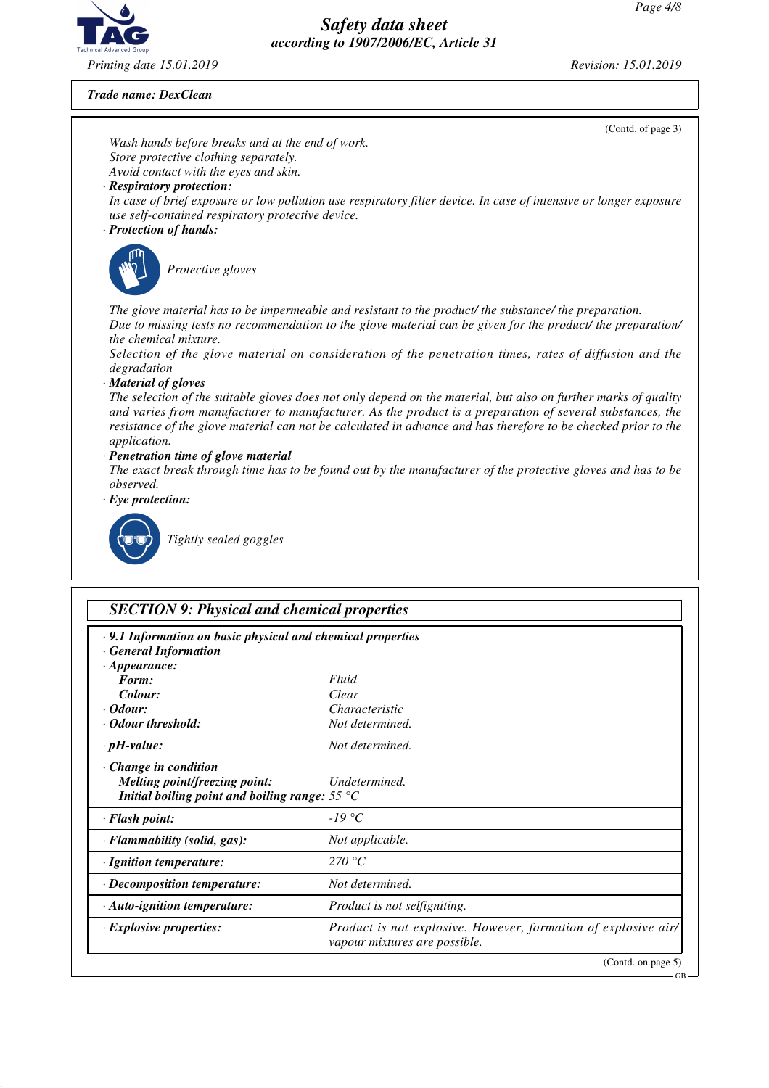

*Trade name: DexClean*

|                                                                                                                                                                                                                                                                                                                                                                                       | (Contd. of page 3)                                                                                                                                                                                                    |  |  |  |  |
|---------------------------------------------------------------------------------------------------------------------------------------------------------------------------------------------------------------------------------------------------------------------------------------------------------------------------------------------------------------------------------------|-----------------------------------------------------------------------------------------------------------------------------------------------------------------------------------------------------------------------|--|--|--|--|
| Wash hands before breaks and at the end of work.                                                                                                                                                                                                                                                                                                                                      |                                                                                                                                                                                                                       |  |  |  |  |
| Store protective clothing separately.<br>Avoid contact with the eyes and skin.                                                                                                                                                                                                                                                                                                        |                                                                                                                                                                                                                       |  |  |  |  |
| · Respiratory protection:                                                                                                                                                                                                                                                                                                                                                             |                                                                                                                                                                                                                       |  |  |  |  |
| use self-contained respiratory protective device.<br>· Protection of hands:                                                                                                                                                                                                                                                                                                           | In case of brief exposure or low pollution use respiratory filter device. In case of intensive or longer exposure                                                                                                     |  |  |  |  |
|                                                                                                                                                                                                                                                                                                                                                                                       |                                                                                                                                                                                                                       |  |  |  |  |
| Protective gloves                                                                                                                                                                                                                                                                                                                                                                     |                                                                                                                                                                                                                       |  |  |  |  |
| the chemical mixture.                                                                                                                                                                                                                                                                                                                                                                 | The glove material has to be impermeable and resistant to the product/ the substance/ the preparation.<br>Due to missing tests no recommendation to the glove material can be given for the product/ the preparation/ |  |  |  |  |
| degradation                                                                                                                                                                                                                                                                                                                                                                           | Selection of the glove material on consideration of the penetration times, rates of diffusion and the                                                                                                                 |  |  |  |  |
| · Material of gloves<br>The selection of the suitable gloves does not only depend on the material, but also on further marks of quality<br>and varies from manufacturer to manufacturer. As the product is a preparation of several substances, the<br>resistance of the glove material can not be calculated in advance and has therefore to be checked prior to the<br>application. |                                                                                                                                                                                                                       |  |  |  |  |
| · Penetration time of glove material<br>The exact break through time has to be found out by the manufacturer of the protective gloves and has to be<br>observed.                                                                                                                                                                                                                      |                                                                                                                                                                                                                       |  |  |  |  |
| $\cdot$ Eye protection:                                                                                                                                                                                                                                                                                                                                                               |                                                                                                                                                                                                                       |  |  |  |  |
| Tightly sealed goggles                                                                                                                                                                                                                                                                                                                                                                |                                                                                                                                                                                                                       |  |  |  |  |
|                                                                                                                                                                                                                                                                                                                                                                                       |                                                                                                                                                                                                                       |  |  |  |  |
| <b>SECTION 9: Physical and chemical properties</b>                                                                                                                                                                                                                                                                                                                                    |                                                                                                                                                                                                                       |  |  |  |  |
| · 9.1 Information on basic physical and chemical properties<br>$\cdot$ General Information                                                                                                                                                                                                                                                                                            |                                                                                                                                                                                                                       |  |  |  |  |
| $\cdot$ Appearance:<br>Form:                                                                                                                                                                                                                                                                                                                                                          | Fluid                                                                                                                                                                                                                 |  |  |  |  |
| Colour:                                                                                                                                                                                                                                                                                                                                                                               | Clear                                                                                                                                                                                                                 |  |  |  |  |
| $\cdot$ Odour:                                                                                                                                                                                                                                                                                                                                                                        | Characteristic                                                                                                                                                                                                        |  |  |  |  |
| <b>Odour threshold:</b>                                                                                                                                                                                                                                                                                                                                                               | Not determined.                                                                                                                                                                                                       |  |  |  |  |
| $\cdot$ pH-value:                                                                                                                                                                                                                                                                                                                                                                     | Not determined.                                                                                                                                                                                                       |  |  |  |  |
| Change in condition<br><b>Melting point/freezing point:</b><br>Initial boiling point and boiling range: $55^{\circ}$ C                                                                                                                                                                                                                                                                | Undetermined.                                                                                                                                                                                                         |  |  |  |  |
| · Flash point:                                                                                                                                                                                                                                                                                                                                                                        |                                                                                                                                                                                                                       |  |  |  |  |
|                                                                                                                                                                                                                                                                                                                                                                                       | $-19\text{ °C}$                                                                                                                                                                                                       |  |  |  |  |
| · Flammability (solid, gas):                                                                                                                                                                                                                                                                                                                                                          | Not applicable.                                                                                                                                                                                                       |  |  |  |  |
| · Ignition temperature:                                                                                                                                                                                                                                                                                                                                                               | 270 °C                                                                                                                                                                                                                |  |  |  |  |
| · Decomposition temperature:                                                                                                                                                                                                                                                                                                                                                          | Not determined.                                                                                                                                                                                                       |  |  |  |  |
| · Auto-ignition temperature:                                                                                                                                                                                                                                                                                                                                                          | Product is not selfigniting.                                                                                                                                                                                          |  |  |  |  |
| $\cdot$ Explosive properties:                                                                                                                                                                                                                                                                                                                                                         | Product is not explosive. However, formation of explosive air/<br>vapour mixtures are possible.                                                                                                                       |  |  |  |  |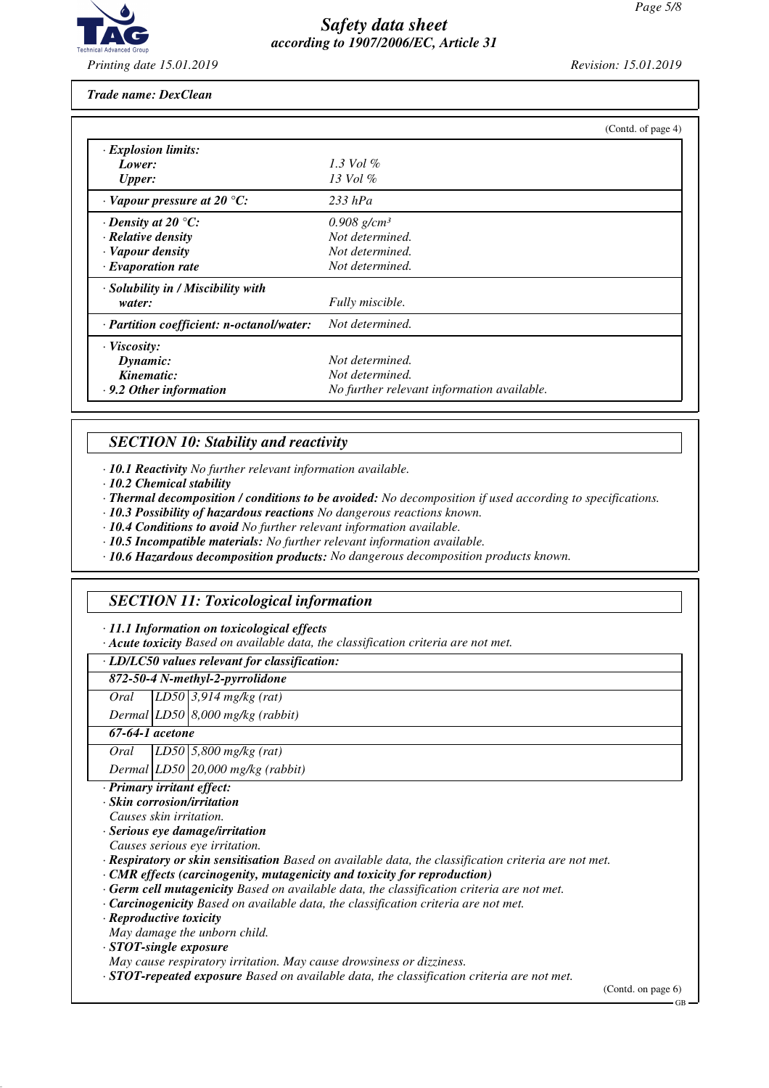

*Trade name: DexClean*

|                                           | (Contd. of page 4)                         |
|-------------------------------------------|--------------------------------------------|
| <b>Explosion limits:</b>                  |                                            |
| Lower:                                    | $1.3$ Vol $\%$                             |
| <b>Upper:</b>                             | $13$ Vol $\%$                              |
| $\cdot$ Vapour pressure at 20 °C:         | $233$ hPa                                  |
| $\cdot$ Density at 20 $\degree$ C:        | $0.908$ g/cm <sup>3</sup>                  |
| · Relative density                        | Not determined.                            |
| · Vapour density                          | Not determined.                            |
| $\cdot$ Evaporation rate                  | Not determined.                            |
| · Solubility in / Miscibility with        |                                            |
| water:                                    | Fully miscible.                            |
| · Partition coefficient: n-octanol/water: | Not determined.                            |
| $\cdot$ Viscosity:                        |                                            |
| Dynamic:                                  | Not determined.                            |
| Kinematic:                                | Not determined.                            |
| $\cdot$ 9.2 Other information             | No further relevant information available. |

#### *SECTION 10: Stability and reactivity*

*· 10.1 Reactivity No further relevant information available.*

*· 10.2 Chemical stability*

*· Thermal decomposition / conditions to be avoided: No decomposition if used according to specifications.*

*· 10.3 Possibility of hazardous reactions No dangerous reactions known.*

*· 10.4 Conditions to avoid No further relevant information available.*

*· 10.5 Incompatible materials: No further relevant information available.*

*· 10.6 Hazardous decomposition products: No dangerous decomposition products known.*

### *SECTION 11: Toxicological information*

*· 11.1 Information on toxicological effects*

*· Acute toxicity Based on available data, the classification criteria are not met.*

*· LD/LC50 values relevant for classification:*

#### *872-50-4 N-methyl-2-pyrrolidone*

*Oral LD50 3,914 mg/kg (rat)*

*Dermal LD50 8,000 mg/kg (rabbit)*

### *67-64-1 acetone*

*Oral LD50 5,800 mg/kg (rat)*

*Dermal LD50 20,000 mg/kg (rabbit)*

*· Primary irritant effect:*

*· Skin corrosion/irritation*

*Causes skin irritation.*

*· Serious eye damage/irritation*

*Causes serious eye irritation.*

*· Respiratory or skin sensitisation Based on available data, the classification criteria are not met.*

*· CMR effects (carcinogenity, mutagenicity and toxicity for reproduction)*

*· Germ cell mutagenicity Based on available data, the classification criteria are not met.*

*· Carcinogenicity Based on available data, the classification criteria are not met.*

*· Reproductive toxicity*

*May damage the unborn child.*

*· STOT-single exposure*

*May cause respiratory irritation. May cause drowsiness or dizziness.*

*· STOT-repeated exposure Based on available data, the classification criteria are not met.*

(Contd. on page 6)

GB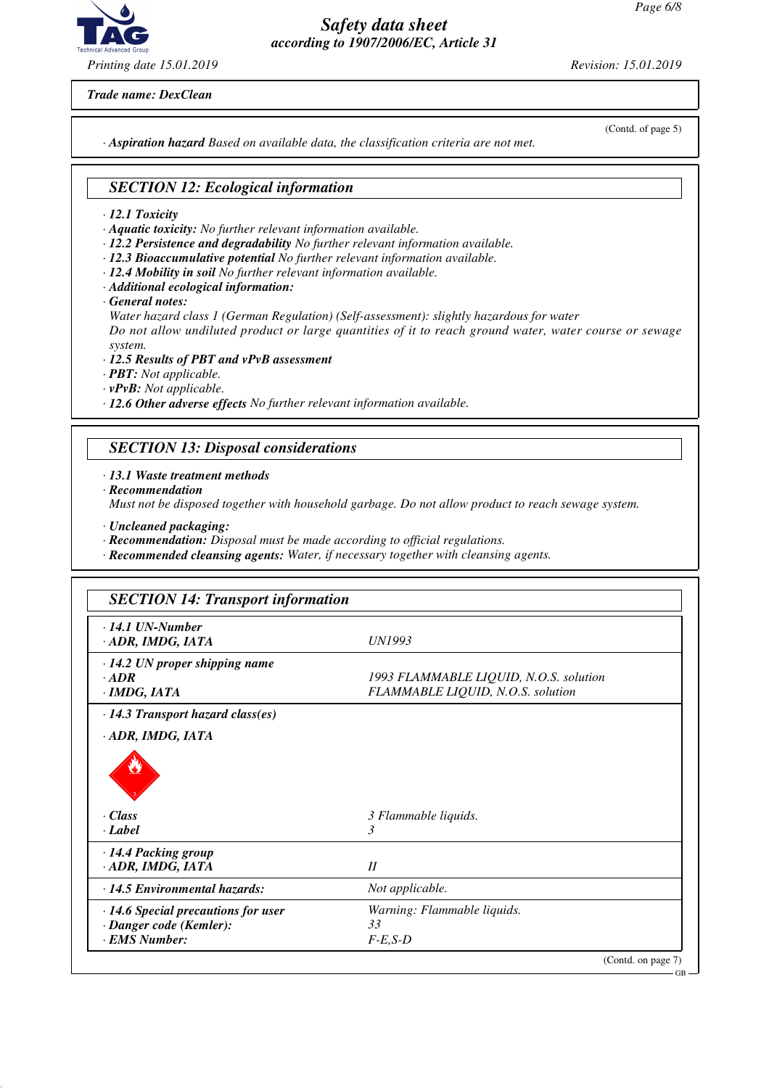

*Printing date 15.01.2019 Revision: 15.01.2019*

*Trade name: DexClean*

(Contd. of page 5)

*· Aspiration hazard Based on available data, the classification criteria are not met.*

### *SECTION 12: Ecological information*

- *· 12.1 Toxicity*
- *· Aquatic toxicity: No further relevant information available.*
- *· 12.2 Persistence and degradability No further relevant information available.*
- *· 12.3 Bioaccumulative potential No further relevant information available.*
- *· 12.4 Mobility in soil No further relevant information available.*
- *· Additional ecological information:*
- *· General notes:*

*Water hazard class 1 (German Regulation) (Self-assessment): slightly hazardous for water Do not allow undiluted product or large quantities of it to reach ground water, water course or sewage system.*

- *· 12.5 Results of PBT and vPvB assessment*
- *· PBT: Not applicable.*
- *· vPvB: Not applicable.*

*· 12.6 Other adverse effects No further relevant information available.*

# *SECTION 13: Disposal considerations*

#### *· 13.1 Waste treatment methods*

*· Recommendation*

*Must not be disposed together with household garbage. Do not allow product to reach sewage system.*

- *· Uncleaned packaging:*
- *· Recommendation: Disposal must be made according to official regulations.*
- *· Recommended cleansing agents: Water, if necessary together with cleansing agents.*

| $\cdot$ 14.1 UN-Number<br>· ADR, IMDG, IATA                                                                                                                            | UN1993                                 |
|------------------------------------------------------------------------------------------------------------------------------------------------------------------------|----------------------------------------|
| $\cdot$ 14.2 UN proper shipping name                                                                                                                                   |                                        |
| $\cdot$ ADR                                                                                                                                                            | 1993 FLAMMABLE LIQUID, N.O.S. solution |
| · IMDG, IATA                                                                                                                                                           | FLAMMABLE LIQUID, N.O.S. solution      |
| $\cdot$ 14.3 Transport hazard class(es)                                                                                                                                |                                        |
| · ADR, IMDG, IATA                                                                                                                                                      |                                        |
|                                                                                                                                                                        |                                        |
|                                                                                                                                                                        |                                        |
|                                                                                                                                                                        | 3 Flammable liquids.                   |
|                                                                                                                                                                        | 3                                      |
|                                                                                                                                                                        | II                                     |
|                                                                                                                                                                        | Not applicable.                        |
|                                                                                                                                                                        | Warning: Flammable liquids.            |
| · Class<br>· Label<br>· 14.4 Packing group<br>ADR, IMDG, IATA<br>$\cdot$ 14.5 Environmental hazards:<br>· 14.6 Special precautions for user<br>· Danger code (Kemler): | 33                                     |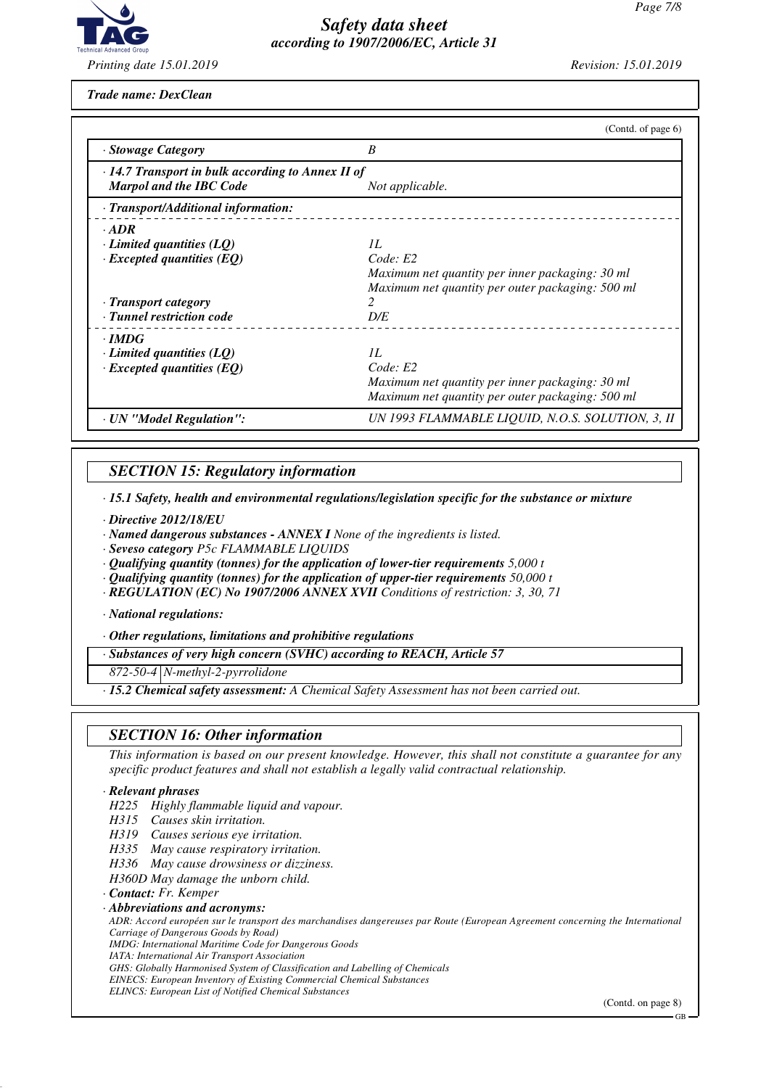

*Trade name: DexClean*

|                                                                                           | (Contd. of page $6$ )                            |
|-------------------------------------------------------------------------------------------|--------------------------------------------------|
| · Stowage Category                                                                        | B                                                |
| $\cdot$ 14.7 Transport in bulk according to Annex II of<br><b>Marpol and the IBC Code</b> | Not applicable.                                  |
| · Transport/Additional information:                                                       |                                                  |
| $\cdot$ ADR                                                                               |                                                  |
| $\cdot$ Limited quantities (LQ)                                                           | II.                                              |
| $\cdot$ Excepted quantities (EQ)                                                          | Code: E2                                         |
|                                                                                           | Maximum net quantity per inner packaging: 30 ml  |
|                                                                                           | Maximum net quantity per outer packaging: 500 ml |
| · Transport category                                                                      |                                                  |
| · Tunnel restriction code                                                                 | D/E                                              |
| $\cdot$ IMDG                                                                              |                                                  |
| $\cdot$ Limited quantities (LQ)                                                           | II.                                              |
| $\cdot$ Excepted quantities (EQ)                                                          | Code: E2                                         |
|                                                                                           | Maximum net quantity per inner packaging: 30 ml  |
|                                                                                           | Maximum net quantity per outer packaging: 500 ml |
| · UN "Model Regulation":                                                                  | UN 1993 FLAMMABLE LIQUID, N.O.S. SOLUTION, 3, II |

# *SECTION 15: Regulatory information*

*· 15.1 Safety, health and environmental regulations/legislation specific for the substance or mixture*

- *· Directive 2012/18/EU*
- *· Named dangerous substances ANNEX I None of the ingredients is listed.*
- *· Seveso category P5c FLAMMABLE LIQUIDS*
- *· Qualifying quantity (tonnes) for the application of lower-tier requirements 5,000 t*
- *· Qualifying quantity (tonnes) for the application of upper-tier requirements 50,000 t*
- *· REGULATION (EC) No 1907/2006 ANNEX XVII Conditions of restriction: 3, 30, 71*

*· National regulations:*

*· Other regulations, limitations and prohibitive regulations*

*· Substances of very high concern (SVHC) according to REACH, Article 57*

*872-50-4 N-methyl-2-pyrrolidone*

*· 15.2 Chemical safety assessment: A Chemical Safety Assessment has not been carried out.*

#### *SECTION 16: Other information*

*This information is based on our present knowledge. However, this shall not constitute a guarantee for any specific product features and shall not establish a legally valid contractual relationship.*

#### *· Relevant phrases*

*H225 Highly flammable liquid and vapour.*

- *H315 Causes skin irritation.*
- *H319 Causes serious eye irritation.*
- *H335 May cause respiratory irritation.*
- *H336 May cause drowsiness or dizziness.*

*H360D May damage the unborn child.*

*· Contact: Fr. Kemper*

*· Abbreviations and acronyms:*

*ADR: Accord européen sur le transport des marchandises dangereuses par Route (European Agreement concerning the International Carriage of Dangerous Goods by Road)*

*IMDG: International Maritime Code for Dangerous Goods*

*IATA: International Air Transport Association*

*GHS: Globally Harmonised System of Classification and Labelling of Chemicals*

*EINECS: European Inventory of Existing Commercial Chemical Substances ELINCS: European List of Notified Chemical Substances*

(Contd. on page 8)

GB